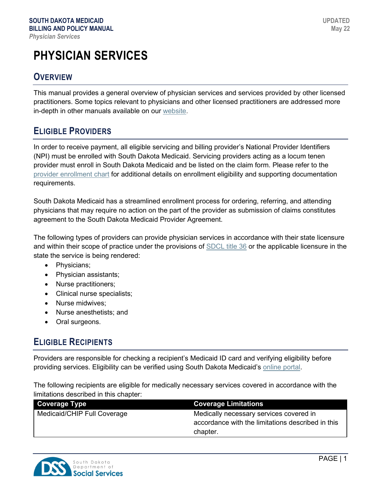# **PHYSICIAN SERVICES**

# **OVERVIEW**

This manual provides a general overview of physician services and services provided by other licensed practitioners. Some topics relevant to physicians and other licensed practitioners are addressed more in-depth in other manuals available on our [website.](https://dss.sd.gov/medicaid/providers/billingmanuals/)

# **ELIGIBLE PROVIDERS**

In order to receive payment, all eligible servicing and billing provider's National Provider Identifiers (NPI) must be enrolled with South Dakota Medicaid. Servicing providers acting as a locum tenen provider must enroll in South Dakota Medicaid and be listed on the claim form. Please refer to the [provider enrollment chart](https://dss.sd.gov/docs/medicaid/providers/ProviderChart.pdf) for additional details on enrollment eligibility and supporting documentation requirements.

South Dakota Medicaid has a streamlined enrollment process for ordering, referring, and attending physicians that may require no action on the part of the provider as submission of claims constitutes agreement to the South Dakota Medicaid Provider Agreement.

The following types of providers can provide physician services in accordance with their state licensure and within their scope of practice under the provisions of [SDCL title 36](http://sdlegislature.gov/Statutes/Codified_Laws/DisplayStatute.aspx?Type=Statute&Statute=36) or the applicable licensure in the state the service is being rendered:

- Physicians;
- Physician assistants;
- Nurse practitioners;
- Clinical nurse specialists;
- Nurse midwives:
- Nurse anesthetists; and
- Oral surgeons.

# **ELIGIBLE RECIPIENTS**

Providers are responsible for checking a recipient's Medicaid ID card and verifying eligibility before providing services. Eligibility can be verified using South Dakota Medicaid's [online portal.](https://dss.sd.gov/medicaid/portal.aspx)

The following recipients are eligible for medically necessary services covered in accordance with the limitations described in this chapter:

| <b>Coverage Type</b>        | <b>Coverage Limitations</b>                       |
|-----------------------------|---------------------------------------------------|
| Medicaid/CHIP Full Coverage | Medically necessary services covered in           |
|                             | accordance with the limitations described in this |
|                             | chapter.                                          |

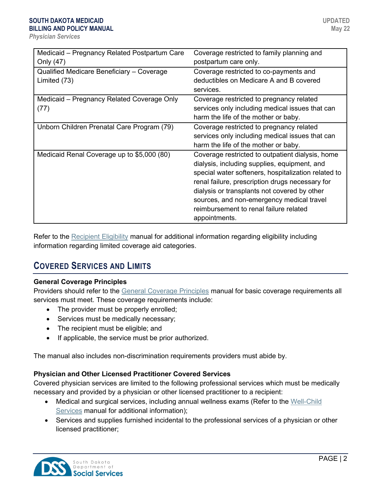| Medicaid - Pregnancy Related Postpartum Care | Coverage restricted to family planning and          |
|----------------------------------------------|-----------------------------------------------------|
| Only (47)                                    | postpartum care only.                               |
| Qualified Medicare Beneficiary - Coverage    | Coverage restricted to co-payments and              |
| Limited (73)                                 | deductibles on Medicare A and B covered             |
|                                              | services.                                           |
| Medicaid - Pregnancy Related Coverage Only   | Coverage restricted to pregnancy related            |
| (77)                                         | services only including medical issues that can     |
|                                              | harm the life of the mother or baby.                |
| Unborn Children Prenatal Care Program (79)   | Coverage restricted to pregnancy related            |
|                                              | services only including medical issues that can     |
|                                              | harm the life of the mother or baby.                |
| Medicaid Renal Coverage up to \$5,000 (80)   | Coverage restricted to outpatient dialysis, home    |
|                                              | dialysis, including supplies, equipment, and        |
|                                              | special water softeners, hospitalization related to |
|                                              | renal failure, prescription drugs necessary for     |
|                                              | dialysis or transplants not covered by other        |
|                                              | sources, and non-emergency medical travel           |
|                                              | reimbursement to renal failure related              |
|                                              | appointments.                                       |

Refer to the [Recipient Eligibility](https://dss.sd.gov/docs/medicaid/providers/billingmanuals/General/Recipient_Eligibility.pdf) manual for additional information regarding eligibility including information regarding limited coverage aid categories.

# **COVERED SERVICES AND LIMITS**

### **General Coverage Principles**

Providers should refer to the [General Coverage Principles](https://dss.sd.gov/docs/medicaid/providers/billingmanuals/General/General_Coverage_Principles.pdf) manual for basic coverage requirements all services must meet. These coverage requirements include:

- The provider must be properly enrolled;
- Services must be medically necessary;
- The recipient must be eligible; and
- If applicable, the service must be prior authorized.

The manual also includes non-discrimination requirements providers must abide by.

### **Physician and Other Licensed Practitioner Covered Services**

Covered physician services are limited to the following professional services which must be medically necessary and provided by a physician or other licensed practitioner to a recipient:

- Medical and surgical services, including annual wellness exams (Refer to the [Well-Child](https://dss.sd.gov/docs/medicaid/providers/billingmanuals/Professional/Well-Child_Services.pdf)  [Services](https://dss.sd.gov/docs/medicaid/providers/billingmanuals/Professional/Well-Child_Services.pdf) manual for additional information);
- Services and supplies furnished incidental to the professional services of a physician or other licensed practitioner;

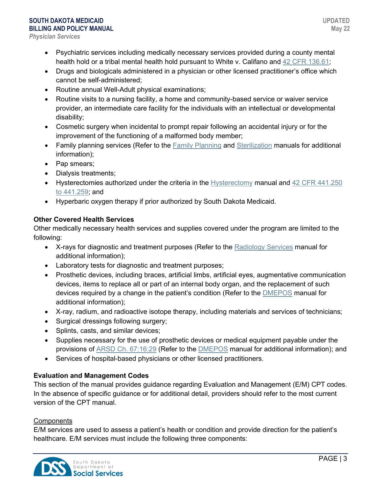# **SOUTH DAKOTA MEDICAID BILLING AND POLICY MANUAL**

*Physician Services*

- Psychiatric services including medically necessary services provided during a county mental health hold or a tribal mental health hold pursuant to White v. Califano and [42 CFR 136.61;](https://www.ecfr.gov/cgi-bin/text-idx?SID=a3f842c6b198f96a108c5480e838f77f&mc=true&node=se42.1.136_161&rgn=div8)
- Drugs and biologicals administered in a physician or other licensed practitioner's office which cannot be self-administered;
- Routine annual Well-Adult physical examinations;
- Routine visits to a nursing facility, a home and community-based service or waiver service provider, an intermediate care facility for the individuals with an intellectual or developmental disability;
- Cosmetic surgery when incidental to prompt repair following an accidental injury or for the improvement of the functioning of a malformed body member;
- Family planning services (Refer to the [Family Planning](https://dss.sd.gov/docs/medicaid/providers/billingmanuals/Professional/Family_Planning.pdf) and [Sterilization](https://dss.sd.gov/docs/medicaid/providers/billingmanuals/Professional/Sterilization.pdf) manuals for additional information);
- Pap smears;
- Dialysis treatments;
- Hysterectomies authorized under the criteria in the [Hysterectomy](https://dss.sd.gov/docs/medicaid/providers/billingmanuals/Professional/Hysterectomy.pdf) manual and [42 CFR 441.250](https://www.ecfr.gov/current/title-42/chapter-IV/subchapter-C/part-441/subpart-F)  [to 441.259;](https://www.ecfr.gov/current/title-42/chapter-IV/subchapter-C/part-441/subpart-F) and
- Hyperbaric oxygen therapy if prior authorized by South Dakota Medicaid.

# **Other Covered Health Services**

Other medically necessary health services and supplies covered under the program are limited to the following:

- X-rays for diagnostic and treatment purposes (Refer to the [Radiology](https://dss.sd.gov/docs/medicaid/providers/billingmanuals/Professional/Radiology.pdf) Services manual for additional information);
- Laboratory tests for diagnostic and treatment purposes;
- Prosthetic devices, including braces, artificial limbs, artificial eyes, augmentative communication devices, items to replace all or part of an internal body organ, and the replacement of such devices required by a change in the patient's condition (Refer to the [DMEPOS](https://dss.sd.gov/docs/medicaid/providers/billingmanuals/Professional/Durable_Medical_Equipment.pdf) manual for additional information);
- X-ray, radium, and radioactive isotope therapy, including materials and services of technicians;
- Surgical dressings following surgery;
- Splints, casts, and similar devices;
- Supplies necessary for the use of prosthetic devices or medical equipment payable under the provisions of [ARSD Ch.](https://sdlegislature.gov/Rules/DisplayRule.aspx?Rule=67:16:29) 67:16:29 (Refer to the [DMEPOS](https://dss.sd.gov/docs/medicaid/providers/billingmanuals/Professional/Durable_Medical_Equipment.pdf) manual for additional information); and
- Services of hospital-based physicians or other licensed practitioners.

### **Evaluation and Management Codes**

This section of the manual provides guidance regarding Evaluation and Management (E/M) CPT codes. In the absence of specific guidance or for additional detail, providers should refer to the most current version of the CPT manual.

### **Components**

E/M services are used to assess a patient's health or condition and provide direction for the patient's healthcare. E/M services must include the following three components:

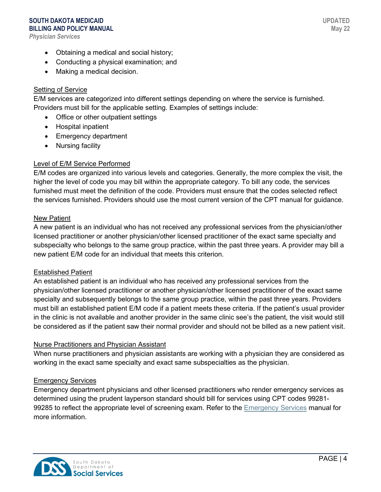#### **SOUTH DAKOTA MEDICAID BILLING AND POLICY MANUAL**

*Physician Services*

- Obtaining a medical and social history;
- Conducting a physical examination; and
- Making a medical decision.

# Setting of Service

E/M services are categorized into different settings depending on where the service is furnished. Providers must bill for the applicable setting. Examples of settings include:

- Office or other outpatient settings
- Hospital inpatient
- Emergency department
- Nursing facility

# Level of E/M Service Performed

E/M codes are organized into various levels and categories. Generally, the more complex the visit, the higher the level of code you may bill within the appropriate category. To bill any code, the services furnished must meet the definition of the code. Providers must ensure that the codes selected reflect the services furnished. Providers should use the most current version of the CPT manual for guidance.

### New Patient

A new patient is an individual who has not received any professional services from the physician/other licensed practitioner or another physician/other licensed practitioner of the exact same specialty and subspecialty who belongs to the same group practice, within the past three years. A provider may bill a new patient E/M code for an individual that meets this criterion.

### Established Patient

An established patient is an individual who has received any professional services from the physician/other licensed practitioner or another physician/other licensed practitioner of the exact same specialty and subsequently belongs to the same group practice, within the past three years. Providers must bill an established patient E/M code if a patient meets these criteria. If the patient's usual provider in the clinic is not available and another provider in the same clinic see's the patient, the visit would still be considered as if the patient saw their normal provider and should not be billed as a new patient visit.

### Nurse Practitioners and Physician Assistant

When nurse practitioners and physician assistants are working with a physician they are considered as working in the exact same specialty and exact same subspecialties as the physician.

### Emergency Services

Emergency department physicians and other licensed practitioners who render emergency services as determined using the prudent layperson standard should bill for services using CPT codes 99281- 99285 to reflect the appropriate level of screening exam. Refer to the [Emergency Services](https://dss.sd.gov/docs/medicaid/providers/billingmanuals/Professional/Emergency_Services.pdf) manual for more information.

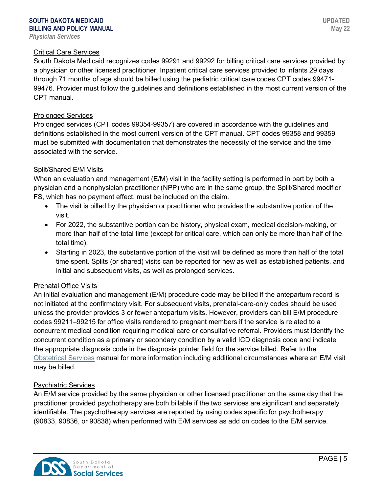#### Critical Care Services

South Dakota Medicaid recognizes codes 99291 and 99292 for billing critical care services provided by a physician or other licensed practitioner. Inpatient critical care services provided to infants 29 days through 71 months of age should be billed using the pediatric critical care codes CPT codes 99471- 99476. Provider must follow the guidelines and definitions established in the most current version of the CPT manual.

#### Prolonged Services

Prolonged services (CPT codes 99354-99357) are covered in accordance with the guidelines and definitions established in the most current version of the CPT manual. CPT codes 99358 and 99359 must be submitted with documentation that demonstrates the necessity of the service and the time associated with the service.

#### Split/Shared E/M Visits

When an evaluation and management (E/M) visit in the facility setting is performed in part by both a physician and a nonphysician practitioner (NPP) who are in the same group, the Split/Shared modifier FS, which has no payment effect, must be included on the claim.

- The visit is billed by the physician or practitioner who provides the substantive portion of the visit.
- For 2022, the substantive portion can be history, physical exam, medical decision-making, or more than half of the total time (except for critical care, which can only be more than half of the total time).
- Starting in 2023, the substantive portion of the visit will be defined as more than half of the total time spent. Splits (or shared) visits can be reported for new as well as established patients, and initial and subsequent visits, as well as prolonged services.

#### Prenatal Office Visits

An initial evaluation and management (E/M) procedure code may be billed if the antepartum record is not initiated at the confirmatory visit. For subsequent visits, prenatal-care-only codes should be used unless the provider provides 3 or fewer antepartum visits. However, providers can bill E/M procedure codes 99211–99215 for office visits rendered to pregnant members if the service is related to a concurrent medical condition requiring medical care or consultative referral. Providers must identify the concurrent condition as a primary or secondary condition by a valid ICD diagnosis code and indicate the appropriate diagnosis code in the diagnosis pointer field for the service billed. Refer to the [Obstetrical Services](https://dss.sd.gov/docs/medicaid/providers/billingmanuals/Professional/Obstetrical_Services.pdf) manual for more information including additional circumstances where an E/M visit may be billed.

#### Psychiatric Services

An E/M service provided by the same physician or other licensed practitioner on the same day that the practitioner provided psychotherapy are both billable if the two services are significant and separately identifiable. The psychotherapy services are reported by using codes specific for psychotherapy (90833, 90836, or 90838) when performed with E/M services as add on codes to the E/M service.

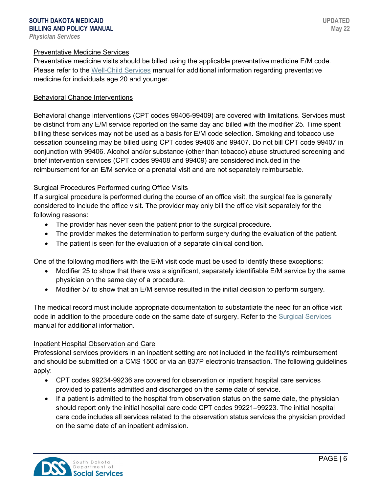#### Preventative Medicine Services

Preventative medicine visits should be billed using the applicable preventative medicine E/M code. Please refer to the [Well-Child Services](https://dss.sd.gov/docs/medicaid/providers/billingmanuals/Professional/Well-Child_Services.pdf) manual for additional information regarding preventative medicine for individuals age 20 and younger.

#### Behavioral Change Interventions

Behavioral change interventions (CPT codes 99406-99409) are covered with limitations. Services must be distinct from any E/M service reported on the same day and billed with the modifier 25. Time spent billing these services may not be used as a basis for E/M code selection. Smoking and tobacco use cessation counseling may be billed using CPT codes 99406 and 99407. Do not bill CPT code 99407 in conjunction with 99406. Alcohol and/or substance (other than tobacco) abuse structured screening and brief intervention services (CPT codes 99408 and 99409) are considered included in the reimbursement for an E/M service or a prenatal visit and are not separately reimbursable.

#### Surgical Procedures Performed during Office Visits

If a surgical procedure is performed during the course of an office visit, the surgical fee is generally considered to include the office visit. The provider may only bill the office visit separately for the following reasons:

- The provider has never seen the patient prior to the surgical procedure.
- The provider makes the determination to perform surgery during the evaluation of the patient.
- The patient is seen for the evaluation of a separate clinical condition.

One of the following modifiers with the E/M visit code must be used to identify these exceptions:

- Modifier 25 to show that there was a significant, separately identifiable E/M service by the same physician on the same day of a procedure.
- Modifier 57 to show that an E/M service resulted in the initial decision to perform surgery.

The medical record must include appropriate documentation to substantiate the need for an office visit code in addition to the procedure code on the same date of surgery. Refer to the [Surgical Services](http://dss.sd.gov/docs/medicaid/providers/billingmanuals/SurgicalServices.pdf) manual for additional information.

#### Inpatient Hospital Observation and Care

Professional services providers in an inpatient setting are not included in the facility's reimbursement and should be submitted on a CMS 1500 or via an 837P electronic transaction. The following guidelines apply:

- CPT codes 99234-99236 are covered for observation or inpatient hospital care services provided to patients admitted and discharged on the same date of service.
- If a patient is admitted to the hospital from observation status on the same date, the physician should report only the initial hospital care code CPT codes 99221–99223. The initial hospital care code includes all services related to the observation status services the physician provided on the same date of an inpatient admission.

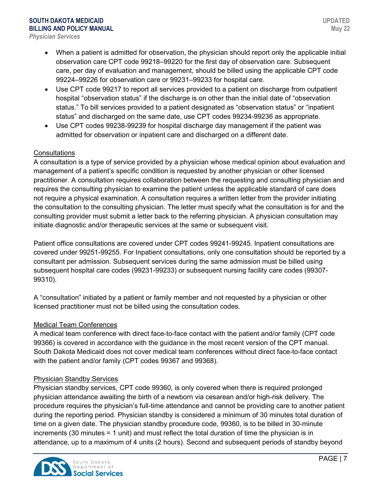- When a patient is admitted for observation, the physician should report only the applicable initial observation care CPT code 99218–99220 for the first day of observation care. Subsequent care, per day of evaluation and management, should be billed using the applicable CPT code 99224–99226 for observation care or 99231–99233 for hospital care.
- Use CPT code 99217 to report all services provided to a patient on discharge from outpatient hospital "observation status" if the discharge is on other than the initial date of "observation status." To bill services provided to a patient designated as "observation status" or "inpatient status" and discharged on the same date, use CPT codes 99234-99236 as appropriate.
- Use CPT codes 99238-99239 for hospital discharge day management if the patient was admitted for observation or inpatient care and discharged on a different date.

# **Consultations**

A consultation is a type of service provided by a physician whose medical opinion about evaluation and management of a patient's specific condition is requested by another physician or other licensed practitioner. A consultation requires collaboration between the requesting and consulting physician and requires the consulting physician to examine the patient unless the applicable standard of care does not require a physical examination. A consultation requires a written letter from the provider initiating the consultation to the consulting physician. The letter must specify what the consultation is for and the consulting provider must submit a letter back to the referring physician. A physician consultation may initiate diagnostic and/or therapeutic services at the same or subsequent visit.

Patient office consultations are covered under CPT codes 99241-99245. Inpatient consultations are covered under 99251-99255. For Inpatient consultations, only one consultation should be reported by a consultant per admission. Subsequent services during the same admission must be billed using subsequent hospital care codes (99231-99233) or subsequent nursing facility care codes (99307- 99310).

A "consultation" initiated by a patient or family member and not requested by a physician or other licensed practitioner must not be billed using the consultation codes.

### Medical Team Conferences

A medical team conference with direct face-to-face contact with the patient and/or family (CPT code 99366) is covered in accordance with the guidance in the most recent version of the CPT manual. South Dakota Medicaid does not cover medical team conferences without direct face-to-face contact with the patient and/or family (CPT codes 99367 and 99368).

### Physician Standby Services

Physician standby services, CPT code 99360, is only covered when there is required prolonged physician attendance awaiting the birth of a newborn via cesarean and/or high-risk delivery. The procedure requires the physician's full-time attendance and cannot be providing care to another patient during the reporting period. Physician standby is considered a minimum of 30 minutes total duration of time on a given date. The physician standby procedure code, 99360, is to be billed in 30-minute increments (30 minutes = 1 unit) and must reflect the total duration of time the physician is in attendance, up to a maximum of 4 units (2 hours). Second and subsequent periods of standby beyond

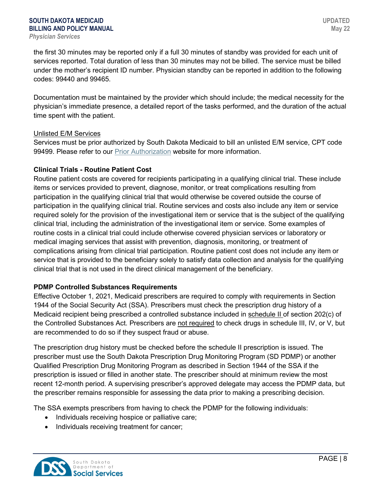the first 30 minutes may be reported only if a full 30 minutes of standby was provided for each unit of services reported. Total duration of less than 30 minutes may not be billed. The service must be billed under the mother's recipient ID number. Physician standby can be reported in addition to the following codes: 99440 and 99465.

Documentation must be maintained by the provider which should include; the medical necessity for the physician's immediate presence, a detailed report of the tasks performed, and the duration of the actual time spent with the patient.

#### Unlisted E/M Services

Services must be prior authorized by South Dakota Medicaid to bill an unlisted E/M service, CPT code 99499. Please refer to our [Prior Authorization](http://dss.sd.gov/medicaid/providers/pa/) website for more information.

### **Clinical Trials - Routine Patient Cost**

Routine patient costs are covered for recipients participating in a qualifying clinical trial. These include items or services provided to prevent, diagnose, monitor, or treat complications resulting from participation in the qualifying clinical trial that would otherwise be covered outside the course of participation in the qualifying clinical trial. Routine services and costs also include any item or service required solely for the provision of the investigational item or service that is the subject of the qualifying clinical trial, including the administration of the investigational item or service. Some examples of routine costs in a clinical trial could include otherwise covered physician services or laboratory or medical imaging services that assist with prevention, diagnosis, monitoring, or treatment of complications arising from clinical trial participation. Routine patient cost does not include any item or service that is provided to the beneficiary solely to satisfy data collection and analysis for the qualifying clinical trial that is not used in the direct clinical management of the beneficiary.

### **PDMP Controlled Substances Requirements**

Effective October 1, 2021, Medicaid prescribers are required to comply with requirements in Section 1944 of the Social Security Act (SSA). Prescribers must check the prescription drug history of a Medicaid recipient being prescribed a controlled substance included in schedule II of section 202(c) of the Controlled Substances Act. Prescribers are not required to check drugs in schedule III, IV, or V, but are recommended to do so if they suspect fraud or abuse.

The prescription drug history must be checked before the schedule II prescription is issued. The prescriber must use the South Dakota Prescription Drug Monitoring Program (SD PDMP) or another Qualified Prescription Drug Monitoring Program as described in Section 1944 of the SSA if the prescription is issued or filled in another state. The prescriber should at minimum review the most recent 12-month period. A supervising prescriber's approved delegate may access the PDMP data, but the prescriber remains responsible for assessing the data prior to making a prescribing decision.

The SSA exempts prescribers from having to check the PDMP for the following individuals:

- Individuals receiving hospice or palliative care;
- Individuals receiving treatment for cancer;

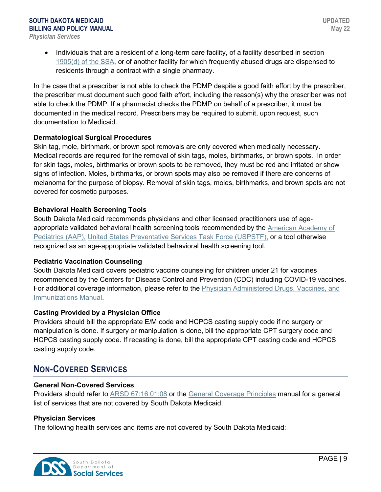• Individuals that are a resident of a long-term care facility, of a facility described in section 1905(d) [of the SSA,](https://www.ssa.gov/OP_Home/ssact/title19/1905.htm) or of another facility for which frequently abused drugs are dispensed to residents through a contract with a single pharmacy.

In the case that a prescriber is not able to check the PDMP despite a good faith effort by the prescriber, the prescriber must document such good faith effort, including the reason(s) why the prescriber was not able to check the PDMP. If a pharmacist checks the PDMP on behalf of a prescriber, it must be documented in the medical record. Prescribers may be required to submit, upon request, such documentation to Medicaid.

### **Dermatological Surgical Procedures**

Skin tag, mole, birthmark, or brown spot removals are only covered when medically necessary. Medical records are required for the removal of skin tags, moles, birthmarks, or brown spots. In order for skin tags, moles, birthmarks or brown spots to be removed, they must be red and irritated or show signs of infection. Moles, birthmarks, or brown spots may also be removed if there are concerns of melanoma for the purpose of biopsy. Removal of skin tags, moles, birthmarks, and brown spots are not covered for cosmetic purposes.

### **Behavioral Health Screening Tools**

South Dakota Medicaid recommends physicians and other licensed practitioners use of ageappropriate validated behavioral health screening tools recommended by the [American Academy](https://screeningtime.org/star-center/#/screening-tools) of [Pediatrics \(AAP\),](https://screeningtime.org/star-center/#/screening-tools) [United States Preventative Services Task Force \(USPSTF\),](https://www.uspreventiveservicestaskforce.org/uspstf/topic_search_results?topic_status=P) or a tool otherwise recognized as an age-appropriate validated behavioral health screening tool.

### **Pediatric Vaccination Counseling**

South Dakota Medicaid covers pediatric vaccine counseling for children under 21 for vaccines recommended by the Centers for Disease Control and Prevention (CDC) including COVID-19 vaccines. For additional coverage information, please refer to the [Physician Administered Drugs, Vaccines, and](https://dss.sd.gov/docs/medicaid/providers/billingmanuals/Professional/Physician_Administered_Drugs.pdf)  [Immunizations Manual.](https://dss.sd.gov/docs/medicaid/providers/billingmanuals/Professional/Physician_Administered_Drugs.pdf)

### **Casting Provided by a Physician Office**

Providers should bill the appropriate E/M code and HCPCS casting supply code if no surgery or manipulation is done. If surgery or manipulation is done, bill the appropriate CPT surgery code and HCPCS casting supply code. If recasting is done, bill the appropriate CPT casting code and HCPCS casting supply code.

# **NON-COVERED SERVICES**

### **General Non-Covered Services**

Providers should refer to [ARSD 67:16:01:08](http://sdlegislature.gov/rules/DisplayRule.aspx?Rule=67:16:01:08) or the [General Coverage Principles](https://dss.sd.gov/docs/medicaid/providers/billingmanuals/General/General_Coverage_Principles.pdf) manual for a general list of services that are not covered by South Dakota Medicaid.

### **Physician Services**

The following health services and items are not covered by South Dakota Medicaid:

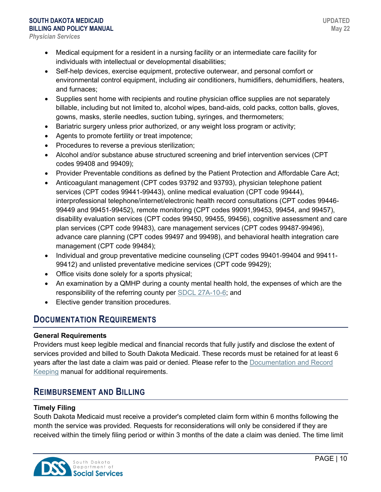- Medical equipment for a resident in a nursing facility or an intermediate care facility for individuals with intellectual or developmental disabilities;
- Self-help devices, exercise equipment, protective outerwear, and personal comfort or environmental control equipment, including air conditioners, humidifiers, dehumidifiers, heaters, and furnaces;
- Supplies sent home with recipients and routine physician office supplies are not separately billable, including but not limited to, alcohol wipes, band-aids, cold packs, cotton balls, gloves, gowns, masks, sterile needles, suction tubing, syringes, and thermometers;
- Bariatric surgery unless prior authorized, or any weight loss program or activity;
- Agents to promote fertility or treat impotence;
- Procedures to reverse a previous sterilization;
- Alcohol and/or substance abuse structured screening and brief intervention services (CPT codes 99408 and 99409);
- Provider Preventable conditions as defined by the Patient Protection and Affordable Care Act;
- Anticoagulant management (CPT codes 93792 and 93793), physician telephone patient services (CPT codes 99441-99443), online medical evaluation (CPT code 99444), interprofessional telephone/internet/electronic health record consultations (CPT codes 99446- 99449 and 99451-99452), remote monitoring (CPT codes 99091,99453, 99454, and 99457), disability evaluation services (CPT codes 99450, 99455, 99456), cognitive assessment and care plan services (CPT code 99483), care management services (CPT codes 99487-99496), advance care planning (CPT codes 99497 and 99498), and behavioral health integration care management (CPT code 99484);
- Individual and group preventative medicine counseling (CPT codes 99401-99404 and 99411- 99412) and unlisted preventative medicine services (CPT code 99429);
- Office visits done solely for a sports physical;
- An examination by a QMHP during a county mental health hold, the expenses of which are the responsibility of the referring county per [SDCL 27A-10-6;](http://sdlegislature.gov/Statutes/Codified_Laws/DisplayStatute.aspx?Type=Statute&Statute=27A-10-6) and
- Elective gender transition procedures.

# **DOCUMENTATION REQUIREMENTS**

### **General Requirements**

Providers must keep legible medical and financial records that fully justify and disclose the extent of services provided and billed to South Dakota Medicaid. These records must be retained for at least 6 years after the last date a claim was paid or denied. Please refer to the [Documentation and Record](https://dss.sd.gov/docs/medicaid/providers/billingmanuals/General/Documentation_and_Records.pdf)  [Keeping](https://dss.sd.gov/docs/medicaid/providers/billingmanuals/General/Documentation_and_Records.pdf) manual for additional requirements.

# **REIMBURSEMENT AND BILLING**

### **Timely Filing**

South Dakota Medicaid must receive a provider's completed claim form within 6 months following the month the service was provided. Requests for reconsiderations will only be considered if they are received within the timely filing period or within 3 months of the date a claim was denied. The time limit

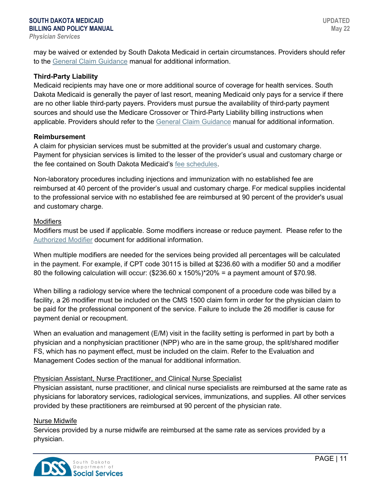may be waived or extended by South Dakota Medicaid in certain circumstances. Providers should refer to the [General Claim Guidance](https://dss.sd.gov/docs/medicaid/providers/billingmanuals/General/General_Claim_Guidance.pdf) manual for additional information.

#### **Third-Party Liability**

Medicaid recipients may have one or more additional source of coverage for health services. South Dakota Medicaid is generally the payer of last resort, meaning Medicaid only pays for a service if there are no other liable third-party payers. Providers must pursue the availability of third-party payment sources and should use the Medicare Crossover or Third-Party Liability billing instructions when applicable. Providers should refer to the [General Claim Guidance](https://dss.sd.gov/docs/medicaid/providers/billingmanuals/General/General_Claim_Guidance.pdf) manual for additional information.

#### **Reimbursement**

A claim for physician services must be submitted at the provider's usual and customary charge. Payment for physician services is limited to the lesser of the provider's usual and customary charge or the fee contained on South Dakota Medicaid's [fee schedules.](https://dss.sd.gov/medicaid/providers/feeschedules/dss/)

Non-laboratory procedures including injections and immunization with no established fee are reimbursed at 40 percent of the provider's usual and customary charge. For medical supplies incidental to the professional service with no established fee are reimbursed at 90 percent of the provider's usual and customary charge.

#### **Modifiers**

Modifiers must be used if applicable. Some modifiers increase or reduce payment. Please refer to the [Authorized Modifier](http://dss.sd.gov/docs/medicaid/modifiers.pdf) document for additional information.

When multiple modifiers are needed for the services being provided all percentages will be calculated in the payment. For example, if CPT code 30115 is billed at \$236.60 with a modifier 50 and a modifier 80 the following calculation will occur: (\$236.60 x 150%)\*20% = a payment amount of \$70.98.

When billing a radiology service where the technical component of a procedure code was billed by a facility, a 26 modifier must be included on the CMS 1500 claim form in order for the physician claim to be paid for the professional component of the service. Failure to include the 26 modifier is cause for payment denial or recoupment.

When an evaluation and management (E/M) visit in the facility setting is performed in part by both a physician and a nonphysician practitioner (NPP) who are in the same group, the split/shared modifier FS, which has no payment effect, must be included on the claim. Refer to the Evaluation and Management Codes section of the manual for additional information.

#### Physician Assistant, Nurse Practitioner, and Clinical Nurse Specialist

Physician assistant, nurse practitioner, and clinical nurse specialists are reimbursed at the same rate as physicians for laboratory services, radiological services, immunizations, and supplies. All other services provided by these practitioners are reimbursed at 90 percent of the physician rate.

#### Nurse Midwife

Services provided by a nurse midwife are reimbursed at the same rate as services provided by a physician.

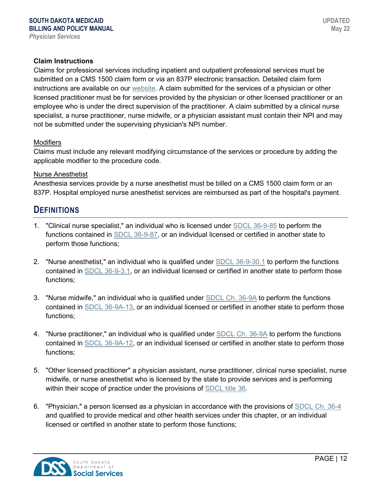#### **Claim Instructions**

Claims for professional services including inpatient and outpatient professional services must be submitted on a CMS 1500 claim form or via an 837P electronic transaction. Detailed claim form instructions are available on our [website.](https://dss.sd.gov/medicaid/providers/feeschedules/dss/) A claim submitted for the services of a physician or other licensed practitioner must be for services provided by the physician or other licensed practitioner or an employee who is under the direct supervision of the practitioner. A claim submitted by a clinical nurse specialist, a nurse practitioner, nurse midwife, or a physician assistant must contain their NPI and may not be submitted under the supervising physician's NPI number.

#### **Modifiers**

Claims must include any relevant modifying circumstance of the services or procedure by adding the applicable modifier to the procedure code.

#### Nurse Anesthetist

Anesthesia services provide by a nurse anesthetist must be billed on a CMS 1500 claim form or an 837P. Hospital employed nurse anesthetist services are reimbursed as part of the hospital's payment.

# **DEFINITIONS**

- 1. "Clinical nurse specialist," an individual who is licensed under [SDCL 36-9-85](http://sdlegislature.gov/Statutes/Codified_Laws/DisplayStatute.aspx?Type=Statute&Statute=36-9-85) to perform the functions contained in [SDCL 36-9-87,](http://sdlegislature.gov/Statutes/Codified_Laws/DisplayStatute.aspx?Type=Statute&Statute=36-9-87) or an individual licensed or certified in another state to perform those functions;
- 2. "Nurse anesthetist," an individual who is qualified under [SDCL 36-9-30.1](http://sdlegislature.gov/Statutes/Codified_Laws/DisplayStatute.aspx?Type=Statute&Statute=36-9-30.1) to perform the functions contained in [SDCL 36-9-3.1,](http://sdlegislature.gov/Statutes/Codified_Laws/DisplayStatute.aspx?Type=Statute&Statute=36-9-3.1) or an individual licensed or certified in another state to perform those functions;
- 3. "Nurse midwife," an individual who is qualified under [SDCL Ch. 36-9A](http://sdlegislature.gov/Statutes/Codified_Laws/DisplayStatute.aspx?Type=Statute&Statute=36-9A) to perform the functions contained in [SDCL 36-9A-13,](http://sdlegislature.gov/Statutes/Codified_Laws/DisplayStatute.aspx?Type=Statute&Statute=36-9A-13) or an individual licensed or certified in another state to perform those functions;
- 4. "Nurse practitioner," an individual who is qualified under [SDCL Ch. 36-9A](http://sdlegislature.gov/Statutes/Codified_Laws/DisplayStatute.aspx?Type=Statute&Statute=36-9A) to perform the functions contained in [SDCL 36-9A-12,](http://sdlegislature.gov/Statutes/Codified_Laws/DisplayStatute.aspx?Type=Statute&Statute=36-9A-12) or an individual licensed or certified in another state to perform those functions;
- 5. "Other licensed practitioner" a physician assistant, nurse practitioner, clinical nurse specialist, nurse midwife, or nurse anesthetist who is licensed by the state to provide services and is performing within their scope of practice under the provisions of [SDCL title 36.](http://sdlegislature.gov/Statutes/Codified_Laws/DisplayStatute.aspx?Type=Statute&Statute=36-4A-26.1)
- 6. "Physician," a person licensed as a physician in accordance with the provisions of [SDCL Ch. 36-4](http://sdlegislature.gov/Statutes/Codified_Laws/DisplayStatute.aspx?Type=Statute&Statute=36-4) and qualified to provide medical and other health services under this chapter, or an individual licensed or certified in another state to perform those functions;